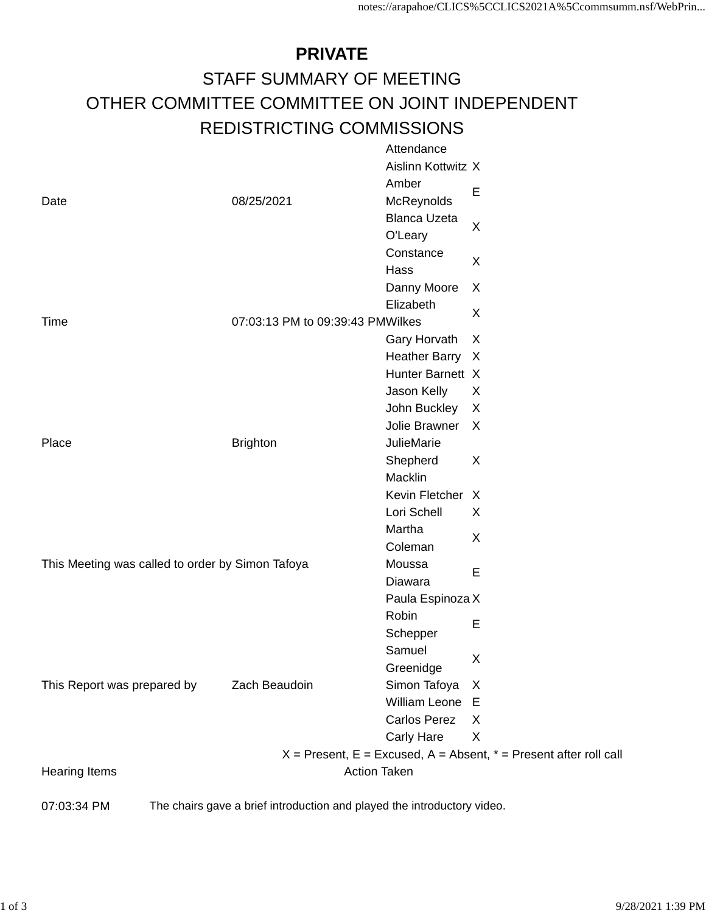## **PRIVATE** STAFF SUMMARY OF MEETING OTHER COMMITTEE COMMITTEE ON JOINT INDEPENDENT REDISTRICTING COMMISSIONS Attendance

|                                                                                        |                 | Allendarice                      |                                                                       |
|----------------------------------------------------------------------------------------|-----------------|----------------------------------|-----------------------------------------------------------------------|
| Date                                                                                   | 08/25/2021      | Aislinn Kottwitz X               |                                                                       |
|                                                                                        |                 | Amber                            | Е                                                                     |
|                                                                                        |                 | McReynolds                       |                                                                       |
|                                                                                        |                 | <b>Blanca Uzeta</b>              | X<br>X                                                                |
|                                                                                        |                 | O'Leary                          |                                                                       |
|                                                                                        |                 | Constance                        |                                                                       |
|                                                                                        |                 | Hass                             |                                                                       |
|                                                                                        |                 | Danny Moore                      | X                                                                     |
|                                                                                        |                 | Elizabeth                        | X                                                                     |
| Time                                                                                   |                 | 07:03:13 PM to 09:39:43 PMWilkes |                                                                       |
|                                                                                        |                 | Gary Horvath                     | X                                                                     |
|                                                                                        |                 | Heather Barry X                  |                                                                       |
|                                                                                        |                 | Hunter Barnett X                 |                                                                       |
| Place                                                                                  | <b>Brighton</b> | Jason Kelly                      | X                                                                     |
|                                                                                        |                 | John Buckley                     | X                                                                     |
|                                                                                        |                 | Jolie Brawner                    | X                                                                     |
|                                                                                        |                 | JulieMarie                       |                                                                       |
|                                                                                        |                 | Shepherd                         | X                                                                     |
|                                                                                        |                 | Macklin                          |                                                                       |
|                                                                                        |                 | Kevin Fletcher X                 |                                                                       |
|                                                                                        |                 | Lori Schell                      | X                                                                     |
|                                                                                        |                 | Martha                           | X                                                                     |
|                                                                                        |                 | Coleman                          |                                                                       |
| This Meeting was called to order by Simon Tafoya                                       | Moussa          | Е                                |                                                                       |
|                                                                                        | Zach Beaudoin   | Diawara                          |                                                                       |
|                                                                                        |                 | Paula Espinoza X                 |                                                                       |
|                                                                                        |                 | Robin                            | Е                                                                     |
| This Report was prepared by                                                            |                 | Schepper                         |                                                                       |
|                                                                                        |                 | Samuel                           | X                                                                     |
|                                                                                        |                 | Greenidge                        |                                                                       |
|                                                                                        |                 | Simon Tafoya                     | X                                                                     |
|                                                                                        |                 | William Leone E                  |                                                                       |
|                                                                                        |                 | <b>Carlos Perez</b>              | X                                                                     |
|                                                                                        |                 | <b>Carly Hare</b>                | X                                                                     |
|                                                                                        |                 |                                  | $X =$ Present, E = Excused, A = Absent, $* =$ Present after roll call |
| <b>Hearing Items</b>                                                                   |                 | <b>Action Taken</b>              |                                                                       |
|                                                                                        |                 |                                  |                                                                       |
| The chairs gave a brief introduction and played the introductory video.<br>07:03:34 PM |                 |                                  |                                                                       |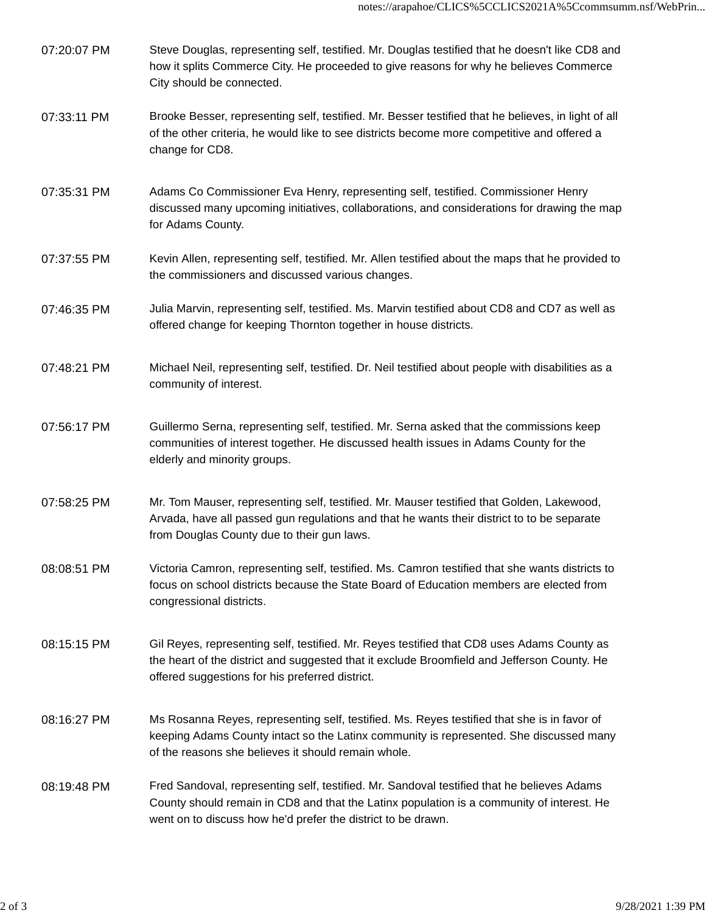- 07:20:07 PM Steve Douglas, representing self, testified. Mr. Douglas testified that he doesn't like CD8 and how it splits Commerce City. He proceeded to give reasons for why he believes Commerce City should be connected.
- 07:33:11 PM Brooke Besser, representing self, testified. Mr. Besser testified that he believes, in light of all of the other criteria, he would like to see districts become more competitive and offered a change for CD8.
- 07:35:31 PM Adams Co Commissioner Eva Henry, representing self, testified. Commissioner Henry discussed many upcoming initiatives, collaborations, and considerations for drawing the map for Adams County.
- 07:37:55 PM Kevin Allen, representing self, testified. Mr. Allen testified about the maps that he provided to the commissioners and discussed various changes.
- 07:46:35 PM Julia Marvin, representing self, testified. Ms. Marvin testified about CD8 and CD7 as well as offered change for keeping Thornton together in house districts.
- 07:48:21 PM Michael Neil, representing self, testified. Dr. Neil testified about people with disabilities as a community of interest.
- 07:56:17 PM Guillermo Serna, representing self, testified. Mr. Serna asked that the commissions keep communities of interest together. He discussed health issues in Adams County for the elderly and minority groups.
- 07:58:25 PM Mr. Tom Mauser, representing self, testified. Mr. Mauser testified that Golden, Lakewood, Arvada, have all passed gun regulations and that he wants their district to to be separate from Douglas County due to their gun laws.
- 08:08:51 PM Victoria Camron, representing self, testified. Ms. Camron testified that she wants districts to focus on school districts because the State Board of Education members are elected from congressional districts.
- 08:15:15 PM Gil Reyes, representing self, testified. Mr. Reyes testified that CD8 uses Adams County as the heart of the district and suggested that it exclude Broomfield and Jefferson County. He offered suggestions for his preferred district.
- 08:16:27 PM Ms Rosanna Reyes, representing self, testified. Ms. Reyes testified that she is in favor of keeping Adams County intact so the Latinx community is represented. She discussed many of the reasons she believes it should remain whole.
- 08:19:48 PM Fred Sandoval, representing self, testified. Mr. Sandoval testified that he believes Adams County should remain in CD8 and that the Latinx population is a community of interest. He went on to discuss how he'd prefer the district to be drawn.